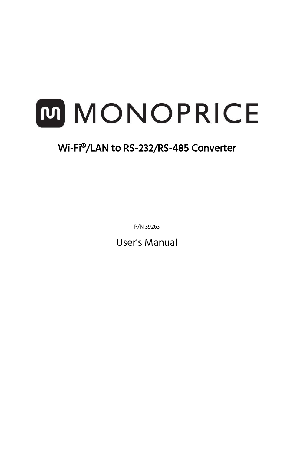# M MONOPRICE

# Wi-Fi®/LAN to RS-232/RS-485 Converter

P/N 39263

User's Manual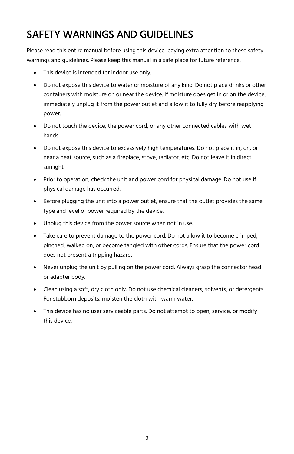# SAFETY WARNINGS AND GUIDELINES

Please read this entire manual before using this device, paying extra attention to these safety warnings and guidelines. Please keep this manual in a safe place for future reference.

- This device is intended for indoor use only.
- Do not expose this device to water or moisture of any kind. Do not place drinks or other containers with moisture on or near the device. If moisture does get in or on the device, immediately unplug it from the power outlet and allow it to fully dry before reapplying power.
- Do not touch the device, the power cord, or any other connected cables with wet hands.
- Do not expose this device to excessively high temperatures. Do not place it in, on, or near a heat source, such as a fireplace, stove, radiator, etc. Do not leave it in direct sunlight.
- Prior to operation, check the unit and power cord for physical damage. Do not use if physical damage has occurred.
- Before plugging the unit into a power outlet, ensure that the outlet provides the same type and level of power required by the device.
- Unplug this device from the power source when not in use.
- Take care to prevent damage to the power cord. Do not allow it to become crimped, pinched, walked on, or become tangled with other cords. Ensure that the power cord does not present a tripping hazard.
- Never unplug the unit by pulling on the power cord. Always grasp the connector head or adapter body.
- Clean using a soft, dry cloth only. Do not use chemical cleaners, solvents, or detergents. For stubborn deposits, moisten the cloth with warm water.
- This device has no user serviceable parts. Do not attempt to open, service, or modify this device.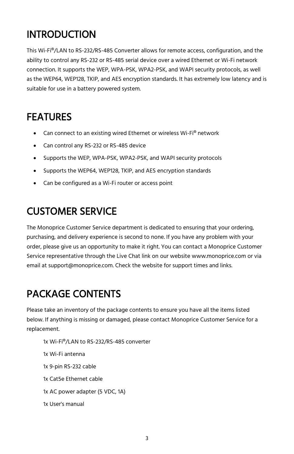# INTRODUCTION

This Wi-Fi®/LAN to RS-232/RS-485 Converter allows for remote access, configuration, and the ability to control any RS-232 or RS-485 serial device over a wired Ethernet or Wi-Fi network connection. It supports the WEP, WPA-PSK, WPA2-PSK, and WAPI security protocols, as well as the WEP64, WEP128, TKIP, and AES encryption standards. It has extremely low latency and is suitable for use in a battery powered system.

# FEATURES

- Can connect to an existing wired Ethernet or wireless Wi-Fi® network
- Can control any RS-232 or RS-485 device
- Supports the WEP, WPA-PSK, WPA2-PSK, and WAPI security protocols
- Supports the WEP64, WEP128, TKIP, and AES encryption standards
- Can be configured as a Wi-Fi router or access point

## CUSTOMER SERVICE

The Monoprice Customer Service department is dedicated to ensuring that your ordering, purchasing, and delivery experience is second to none. If you have any problem with your order, please give us an opportunity to make it right. You can contact a Monoprice Customer Service representative through the Live Chat link on our website www.monoprice.com or via email at support@monoprice.com. Check the website for support times and links.

# PACKAGE CONTENTS

Please take an inventory of the package contents to ensure you have all the items listed below. If anything is missing or damaged, please contact Monoprice Customer Service for a replacement.

1x Wi-Fi®/LAN to RS-232/RS-485 converter 1x Wi-Fi antenna 1x 9-pin RS-232 cable 1x Cat5e Ethernet cable 1x AC power adapter (5 VDC, 1A) 1x User's manual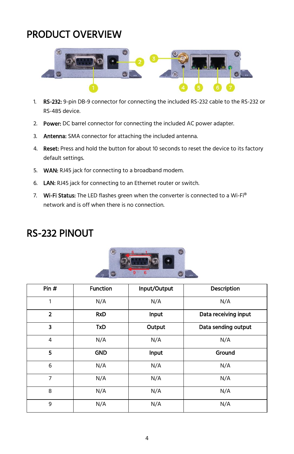# PRODUCT OVERVIEW



- 1. RS-232: 9-pin DB-9 connector for connecting the included RS-232 cable to the RS-232 or RS-485 device.
- 2. Power: DC barrel connector for connecting the included AC power adapter.
- 3. Antenna: SMA connector for attaching the included antenna.
- 4. Reset: Press and hold the button for about 10 seconds to reset the device to its factory default settings.
- 5. **WAN:** RJ45 jack for connecting to a broadband modem.
- 6. LAN: RJ45 jack for connecting to an Ethernet router or switch.
- 7. Wi-Fi Status: The LED flashes green when the converter is connected to a Wi-Fi® network and is off when there is no connection.

| Pin #          | <b>Function</b> | Input/Output | Description          |
|----------------|-----------------|--------------|----------------------|
| 1              | N/A             | N/A          | N/A                  |
| $\overline{2}$ | <b>RxD</b>      | Input        | Data receiving input |
| 3              | <b>TxD</b>      | Output       | Data sending output  |
| $\overline{4}$ | N/A             | N/A          | N/A                  |
| 5              | <b>GND</b>      | <b>Input</b> | Ground               |
| 6              | N/A             | N/A          | N/A                  |
| 7              | N/A             | N/A          | N/A                  |
| 8              | N/A             | N/A          | N/A                  |
| 9              | N/A             | N/A          | N/A                  |

### RS-232 PINOUT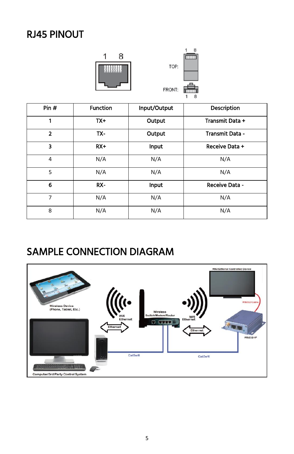# RJ45 PINOUT





| Pin #          | <b>Function</b> | Input/Output | <b>Description</b> |
|----------------|-----------------|--------------|--------------------|
|                |                 |              |                    |
| 1              | $TX+$           | Output       | Transmit Data +    |
| $\overline{2}$ | TX-             | Output       | Transmit Data -    |
| 3              | $RX+$           | Input        | Receive Data +     |
| 4              | N/A             | N/A          | N/A                |
| 5              | N/A             | N/A          | N/A                |
| 6              | RX-             | Input        | Receive Data -     |
| 7              | N/A             | N/A          | N/A                |
| 8              | N/A             | N/A          | N/A                |

# SAMPLE CONNECTION DIAGRAM

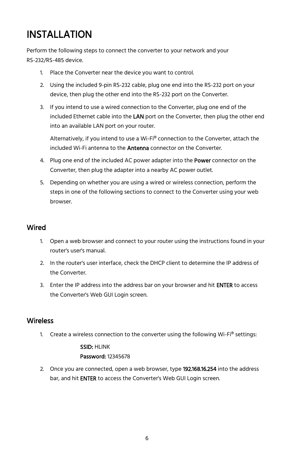# INSTALLATION

Perform the following steps to connect the converter to your network and your RS-232/RS-485 device.

- 1. Place the Converter near the device you want to control.
- 2. Using the included 9-pin RS-232 cable, plug one end into the RS-232 port on your device, then plug the other end into the RS-232 port on the Converter.
- 3. If you intend to use a wired connection to the Converter, plug one end of the included Ethernet cable into the LAN port on the Converter, then plug the other end into an available LAN port on your router.

Alternatively, if you intend to use a Wi-Fi® connection to the Converter, attach the included Wi-Fi antenna to the **Antenna** connector on the Converter.

- 4. Plug one end of the included AC power adapter into the Power connector on the Converter, then plug the adapter into a nearby AC power outlet.
- 5. Depending on whether you are using a wired or wireless connection, perform the steps in one of the following sections to connect to the Converter using your web browser.

#### Wired

- 1. Open a web browser and connect to your router using the instructions found in your router's user's manual.
- 2. In the router's user interface, check the DHCP client to determine the IP address of the Converter.
- 3. Enter the IP address into the address bar on your browser and hit ENTER to access the Converter's Web GUI Login screen.

#### **Wireless**

1. Create a wireless connection to the converter using the following Wi-Fi® settings:

#### SSID: HLINK Password: 12345678

2. Once you are connected, open a web browser, type 192.168.16.254 into the address bar, and hit **ENTER** to access the Converter's Web GUI Login screen.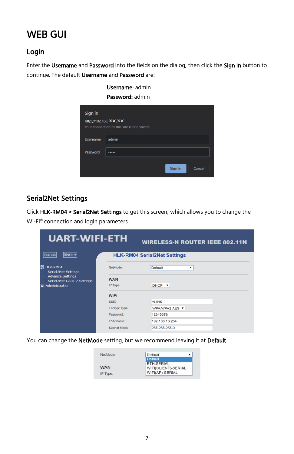# WEB GUI

#### Login

Enter the Username and Password into the fields on the dialog, then click the Sign In button to continue. The default Username and Password are:

> Username: admin Password: admin

| Sign in               |                                             |
|-----------------------|---------------------------------------------|
| http://192.168. XX.XX | Your connection to this site is not private |
|                       |                                             |
| <b>Username</b>       | admin                                       |
| Password              |                                             |
|                       | Sign in<br>Cancel                           |

#### Serial2Net Settings

Click HLK-RM04 > Serial2Net Settings to get this screen, which allows you to change the Wi-Fi® connection and login parameters.

| <b>UART-WIFI-ETH</b>                                  |                      | <b>WIRELESS-N ROUTER IEEE 802.11N</b> |
|-------------------------------------------------------|----------------------|---------------------------------------|
| 简体中文<br>English                                       |                      | <b>HLK-RM04 Serial2Net Settings</b>   |
| HLK-RM04<br>w<br><b>Serial2Net Settings</b>           | NetMode:             | <b>Default</b><br>▼                   |
| <b>Advance Settings</b><br>Serial2Net UART 2 Settings | <b>WAN</b>           |                                       |
| Administration<br>$\mathbf{a}$                        | IP Type:             | DHCP <b>v</b>                         |
|                                                       | <b>WiFi</b>          |                                       |
|                                                       | SSID:                | <b>HLINK</b>                          |
|                                                       | <b>Encrypt Type:</b> | WPA/WPA2 AES ▼                        |
|                                                       | Password:            | 12345678                              |
|                                                       | <b>IP Address:</b>   | 192.168.16.254                        |
|                                                       | Subnet Mask:         | 255.255.255.0                         |

You can change the NetMode setting, but we recommend leaving it at Default.

| NetMode:   | Default                           |
|------------|-----------------------------------|
|            | <b>Default</b>                    |
| <b>WAN</b> | ETH-SERIAL<br>WIFI(CLIENT)-SERIAL |
| IP Type:   | WIFI(AP)-SERIAL                   |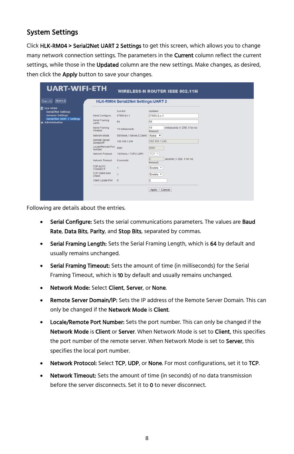#### System Settings

Click HLK-RM04 > Serial2Net UART 2 Settings to get this screen, which allows you to change many network connection settings. The parameters in the **Current** column reflect the current settings, while those in the Updated column are the new settings. Make changes, as desired, then click the **Apply** button to save your changes.

| 所体中文<br>English                                       |                                 | <b>HLK-RM04 Serial2Net Settings: UART 2</b> |                      |                               |
|-------------------------------------------------------|---------------------------------|---------------------------------------------|----------------------|-------------------------------|
| <b>ED HLK RM04</b><br><b>Serial2Net Settings</b>      |                                 | Current                                     | Updated              |                               |
| <b>Advance Settings</b>                               | Serial Configure:               | 57600.8.n.1                                 | 57600.8.n.1          |                               |
| Serial2Net UART 2 Settings<br><b>n</b> Administration | Serial Framing<br>Lenth:        | 64                                          | 64                   |                               |
|                                                       | Serial Framing<br>Timeout:      | 10 milliseconds                             | 10<br>timeout)       | milliseconds (< 256, 0 for no |
|                                                       | Network Mode:                   | 0(0:None.1:Server.2:Client)                 | None <b>v</b>        |                               |
|                                                       | Remote Server<br>Domain/IP:     | 192.168.1.245                               | 192 168 1 245        |                               |
|                                                       | Locale/Remote Port<br>Number:   | 8081                                        | 8081                 |                               |
|                                                       | Network Protocol:               | 1(0 None.1.TCP.2 UDP)                       | TCP v                |                               |
|                                                       | Network Timeout                 | 0 seconds                                   | $\alpha$<br>timeout) | seconds (< 256, 0 for no      |
|                                                       | TCP AUTO<br><b>CONNECT:</b>     |                                             | Enable <b>v</b>      |                               |
|                                                       | <b>TCP Client Auto</b><br>Check |                                             | Enable <b>v</b>      |                               |
|                                                       | Client Locale Port              | $\Omega$                                    | 10                   |                               |

Following are details about the entries.

- Serial Configure: Sets the serial communications parameters. The values are Baud Rate, Data Bits, Parity, and Stop Bits, separated by commas.
- Serial Framing Length: Sets the Serial Framing Length, which is 64 by default and usually remains unchanged.
- Serial Framing Timeout: Sets the amount of time (in milliseconds) for the Serial Framing Timeout, which is 10 by default and usually remains unchanged.
- Network Mode: Select Client, Server, or None.
- Remote Server Domain/IP: Sets the IP address of the Remote Server Domain. This can only be changed if the Network Mode is Client.
- **Locale/Remote Port Number:** Sets the port number. This can only be changed if the Network Mode is Client or Server. When Network Mode is set to Client, this specifies the port number of the remote server. When Network Mode is set to Server, this specifies the local port number.
- **Network Protocol:** Select TCP, UDP, or None. For most configurations, set it to TCP.
- Network Timeout: Sets the amount of time (in seconds) of no data transmission before the server disconnects. Set it to 0 to never disconnect.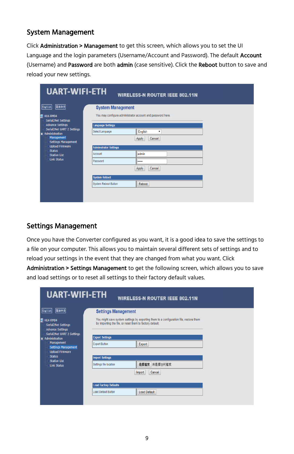#### System Management

Click Administration > Management to get this screen, which allows you to set the UI Language and the login parameters (Username/Account and Password). The default Account (Username) and Password are both admin (case sensitive). Click the Reboot button to save and reload your new settings.

| <b>UART-WIFI-ETH</b>                                                                                                  |                                                            | <b>WIRELESS-N ROUTER IEEE 802.11N</b> |  |  |  |  |
|-----------------------------------------------------------------------------------------------------------------------|------------------------------------------------------------|---------------------------------------|--|--|--|--|
| 简体中文<br>English<br>HLK-RM04<br><b>Serial2Net Settings</b>                                                             | <b>System Management</b>                                   |                                       |  |  |  |  |
|                                                                                                                       | You may configure administrator account and password here. |                                       |  |  |  |  |
| <b>Advance Settings</b>                                                                                               | <b>Language Settings</b>                                   |                                       |  |  |  |  |
| <b>Serial2Net UART 2 Settings</b><br>$\blacksquare$ Administration<br><b>Management</b><br><b>Settings Management</b> | Select Language                                            | English<br>۰                          |  |  |  |  |
|                                                                                                                       |                                                            | Cancel<br>Apply                       |  |  |  |  |
| <b>Upload Firmware</b><br><b>Status</b>                                                                               | <b>Adminstrator Settings</b>                               |                                       |  |  |  |  |
| <b>Station List</b>                                                                                                   | Account                                                    | admin                                 |  |  |  |  |
| <b>Link Status</b>                                                                                                    | Password                                                   |                                       |  |  |  |  |
|                                                                                                                       |                                                            | Cancel<br>Apply                       |  |  |  |  |
|                                                                                                                       | <b>System Reboot</b>                                       |                                       |  |  |  |  |
|                                                                                                                       | <b>System Reboot Button</b>                                | Reboot                                |  |  |  |  |
|                                                                                                                       |                                                            |                                       |  |  |  |  |

#### Settings Management

Once you have the Converter configured as you want, it is a good idea to save the settings to a file on your computer. This allows you to maintain several different sets of settings and to reload your settings in the event that they are changed from what you want. Click

Administration > Settings Management to get the following screen, which allows you to save and load settings or to reset all settings to their factory default values.

| <b>UART-WIFI-ETH</b>                                                             | <b>WIRELESS-N ROUTER IEEE 802.11N</b>                                                                                                              |  |  |  |  |
|----------------------------------------------------------------------------------|----------------------------------------------------------------------------------------------------------------------------------------------------|--|--|--|--|
| 简体中文<br>English                                                                  | <b>Settings Management</b>                                                                                                                         |  |  |  |  |
| HLK-RM04<br><b>Serial2Net Settings</b><br><b>Advance Settings</b>                | You might save system settings by exporting them to a configuration file, restore them<br>by importing the file, or reset them to factory default. |  |  |  |  |
| Serial2Net UART 2 Settings                                                       | <b>Export Settings</b>                                                                                                                             |  |  |  |  |
| $\blacksquare$ Administration<br><b>Management</b><br><b>Settings Management</b> | <b>Export Button</b><br>Export                                                                                                                     |  |  |  |  |
|                                                                                  |                                                                                                                                                    |  |  |  |  |
| <b>Upload Firmware</b><br><b>Status</b><br><b>Station List</b>                   | <b>Import Settings</b>                                                                                                                             |  |  |  |  |
| <b>Link Status</b>                                                               | 選擇檔案<br>未選擇任何檔案<br>Settings file location                                                                                                          |  |  |  |  |
|                                                                                  | Cancel<br>Import                                                                                                                                   |  |  |  |  |
|                                                                                  |                                                                                                                                                    |  |  |  |  |
|                                                                                  | <b>Load Factory Defaults</b>                                                                                                                       |  |  |  |  |
|                                                                                  | Load Default Button<br><b>Load Default</b>                                                                                                         |  |  |  |  |
|                                                                                  |                                                                                                                                                    |  |  |  |  |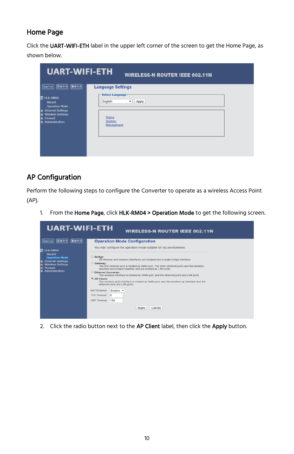#### Home Page

Click the UART-WIFI-ETH label in the upper left corner of the screen to get the Home Page, as shown below.

| <b>UART-WIFI-ETH</b>                                                                                                                                                      | <b>WIRELESS-N ROUTER IEEE 802.11N</b>                                    |
|---------------------------------------------------------------------------------------------------------------------------------------------------------------------------|--------------------------------------------------------------------------|
| 联体中文<br>简体中文<br>English<br>HLK-RM04                                                                                                                                       | <b>Language Settings</b><br>-Select Language                             |
| Wizard<br><b>Operation Mode</b><br><b>Internet Settings</b><br>$\mathbf{a}$<br><b>Wireless Settings</b><br>$\blacksquare$<br><b>D</b> Firewall<br><b>n</b> Administration | English<br>Apply<br>۰<br><b>Status</b><br><b>Statistic</b><br>Management |
|                                                                                                                                                                           |                                                                          |

#### AP Configuration

Perform the following steps to configure the Converter to operate as a wireless Access Point (AP).

1. From the Home Page, click HLK-RM04 > Operation Mode to get the following screen.



2. Click the radio button next to the AP Client label, then click the Apply button.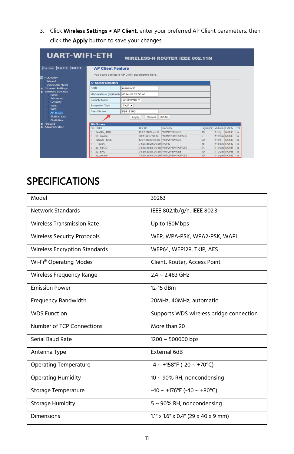3. Click Wireless Settings > AP Client, enter your preferred AP Client parameters, then click the **Apply** button to save your changes.

| <b>UART-WIFI-ETH</b>                      |                               |                                                |                               | <b>WIRELESS-N ROUTER IEEE 802.11N</b> |                       |              |             |    |  |  |
|-------------------------------------------|-------------------------------|------------------------------------------------|-------------------------------|---------------------------------------|-----------------------|--------------|-------------|----|--|--|
| 繁体中文<br>简体中文<br>English                   | <b>AP Client Feature</b>      |                                                |                               |                                       |                       |              |             |    |  |  |
|                                           |                               | You could configure AP Client parameters here. |                               |                                       |                       |              |             |    |  |  |
| HLK-RM04<br>Wizard                        |                               |                                                |                               |                                       |                       |              |             |    |  |  |
| <b>Operation Mode</b>                     | <b>AP Client Parameters</b>   |                                                |                               |                                       |                       |              |             |    |  |  |
| <b>n</b> Internet Settings                | <b>SSID</b>                   | mansion6                                       |                               |                                       |                       |              |             |    |  |  |
| Wireless Settings<br><b>Basic</b>         | <b>MAC Address (Optional)</b> | d8:fe:e3:82:56:a0                              |                               |                                       |                       |              |             |    |  |  |
| <b>Advanced</b><br>Security<br><b>WDS</b> | <b>Security Mode</b>          | WPA2PSK v                                      |                               |                                       |                       |              |             |    |  |  |
|                                           | <b>Encryption Type</b>        | TKIP v                                         |                               |                                       |                       |              |             |    |  |  |
| <b>WPS</b>                                | Pass Phrase                   | 09417160                                       |                               |                                       |                       |              |             |    |  |  |
| <b>AP Client</b><br><b>Station List</b>   |                               |                                                |                               |                                       |                       |              |             |    |  |  |
| <b>Statistics</b>                         |                               | Apply                                          | Cancel                        | <b>SCAN</b>                           |                       |              |             |    |  |  |
| <b>D</b> Firewall                         | <b>Site Survey</b>            |                                                |                               |                                       |                       |              |             |    |  |  |
| <b>El</b> Administration                  | SSID<br>Ch                    |                                                | <b>BSSID</b>                  | Security                              | Signal(%) W-Moe ExtCh |              |             | NT |  |  |
|                                           | TzuChi 1102                   |                                                | f0:07:86:20:ec:f6             | WPA2PSK/AES                           | 10                    | 11b/a        | <b>NONE</b> | In |  |  |
|                                           | xd device                     |                                                | 38 ff: 36 67:94:19            | WPA2PSK/TKIPAES                       | 5                     | 11b/g/n NONE |             | In |  |  |
|                                           | TzuChi 1006                   |                                                | f0:07:86:20:ec:ae WPA2PSK/AES |                                       | 20                    | 11b/q        | NONE        | In |  |  |
|                                           | I-Tzuchi<br>4                 |                                                | 74:3e:2b:21:90:38 NONE        |                                       | 15                    | 11b/g/n NONE |             | In |  |  |
|                                           | xd BYOD                       |                                                |                               | 74:3e:2b:61:90:38 WPA2PSK/TKIPAES     | 24                    | 11b/g/n NONE |             | In |  |  |
|                                           | xd EKG<br>4                   |                                                | 74:3e:2b:a1:90:38 WPA2PSK/AES |                                       | 10                    | 11b/g/n NONE |             | In |  |  |
|                                           | xd device                     |                                                |                               | 74:3e:2b:61:90:39 WPA2PSK/TKIPAES     | 10                    | 11b/g/n NONE |             | In |  |  |

# **SPECIFICATIONS**

| Model                                | 39263                                     |
|--------------------------------------|-------------------------------------------|
| Network Standards                    | IEEE 802.1b/g/n, IEEE 802.3               |
| <b>Wireless Transmission Rate</b>    | Up to 150Mbps                             |
| <b>Wireless Security Protocols</b>   | WEP, WPA-PSK, WPA2-PSK, WAPI              |
| <b>Wireless Encryption Standards</b> | WEP64, WEP128, TKIP, AES                  |
| Wi-Fi <sup>®</sup> Operating Modes   | Client, Router, Access Point              |
| Wireless Frequency Range             | $2.4 \sim 2.483$ GHz                      |
| <b>Emission Power</b>                | 12-15 dBm                                 |
| <b>Frequency Bandwidth</b>           | 20MHz, 40MHz, automatic                   |
| <b>WDS Function</b>                  | Supports WDS wireless bridge connection   |
| Number of TCP Connections            | More than 20                              |
| Serial Baud Rate                     | $1200 \sim 500000$ bps                    |
| Antenna Type                         | External 6dB                              |
| <b>Operating Temperature</b>         | $-4 \sim +158$ °F (-20 ~ +70°C)           |
| <b>Operating Humidity</b>            | 10 $\sim$ 90% RH, noncondensing           |
| Storage Temperature                  | $-40 \sim +176$ °F (-40 ~ +80°C)          |
| <b>Storage Humidity</b>              | $5 \sim 90\%$ RH, noncondensing           |
| Dimensions                           | $1.1"$ x $1.6"$ x $0.4"$ (29 x 40 x 9 mm) |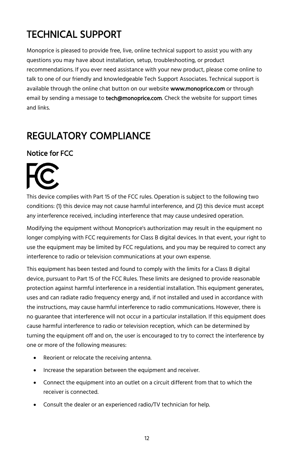# TECHNICAL SUPPORT

Monoprice is pleased to provide free, live, online technical support to assist you with any questions you may have about installation, setup, troubleshooting, or product recommendations. If you ever need assistance with your new product, please come online to talk to one of our friendly and knowledgeable Tech Support Associates. Technical support is available through the online chat button on our website www.monoprice.com or through email by sending a message to **tech@monoprice.com**. Check the website for support times and links.

## REGULATORY COMPLIANCE

#### Notice for FCC



This device complies with Part 15 of the FCC rules. Operation is subject to the following two conditions: (1) this device may not cause harmful interference, and (2) this device must accept any interference received, including interference that may cause undesired operation.

Modifying the equipment without Monoprice's authorization may result in the equipment no longer complying with FCC requirements for Class B digital devices. In that event, your right to use the equipment may be limited by FCC regulations, and you may be required to correct any interference to radio or television communications at your own expense.

This equipment has been tested and found to comply with the limits for a Class B digital device, pursuant to Part 15 of the FCC Rules. These limits are designed to provide reasonable protection against harmful interference in a residential installation. This equipment generates, uses and can radiate radio frequency energy and, if not installed and used in accordance with the instructions, may cause harmful interference to radio communications. However, there is no guarantee that interference will not occur in a particular installation. If this equipment does cause harmful interference to radio or television reception, which can be determined by turning the equipment off and on, the user is encouraged to try to correct the interference by one or more of the following measures:

- Reorient or relocate the receiving antenna.
- Increase the separation between the equipment and receiver.
- Connect the equipment into an outlet on a circuit different from that to which the receiver is connected.
- Consult the dealer or an experienced radio/TV technician for help.